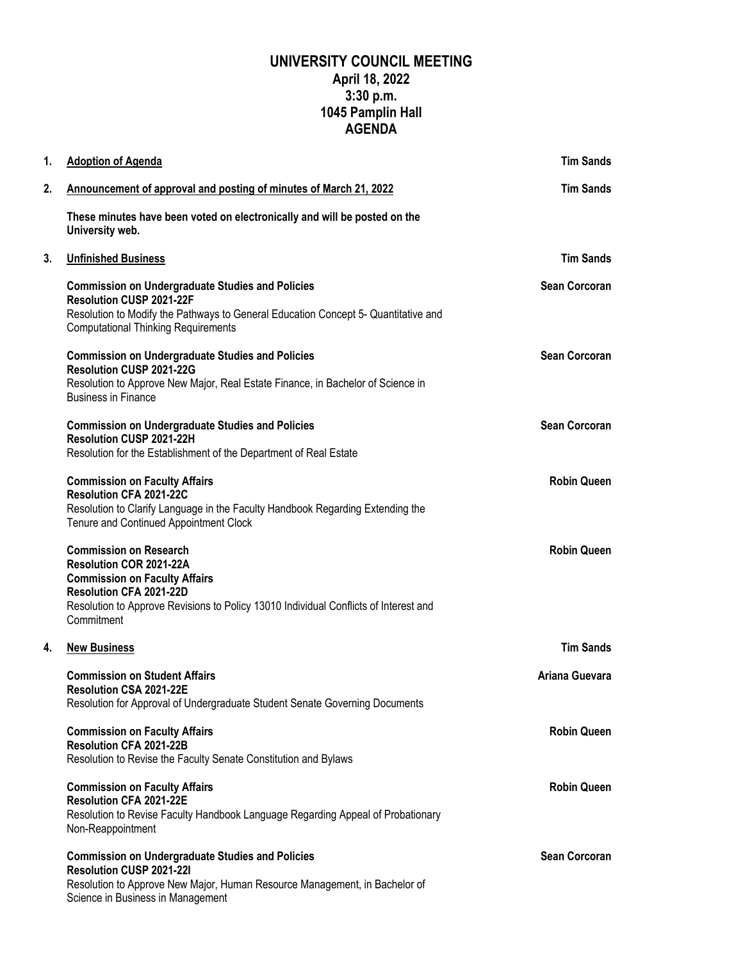## **UNIVERSITY COUNCIL MEETING April 18, 2022 3:30 p.m. 1045 Pamplin Hall AGENDA**

| 1. | <b>Adoption of Agenda</b>                                                                                                                                                                                                         | <b>Tim Sands</b>     |
|----|-----------------------------------------------------------------------------------------------------------------------------------------------------------------------------------------------------------------------------------|----------------------|
| 2. | Announcement of approval and posting of minutes of March 21, 2022                                                                                                                                                                 | <b>Tim Sands</b>     |
|    | These minutes have been voted on electronically and will be posted on the<br>University web.                                                                                                                                      |                      |
| 3. | <b>Unfinished Business</b>                                                                                                                                                                                                        | <b>Tim Sands</b>     |
|    | <b>Commission on Undergraduate Studies and Policies</b><br>Resolution CUSP 2021-22F<br>Resolution to Modify the Pathways to General Education Concept 5- Quantitative and<br><b>Computational Thinking Requirements</b>           | <b>Sean Corcoran</b> |
|    | <b>Commission on Undergraduate Studies and Policies</b><br>Resolution CUSP 2021-22G<br>Resolution to Approve New Major, Real Estate Finance, in Bachelor of Science in<br><b>Business in Finance</b>                              | <b>Sean Corcoran</b> |
|    | <b>Commission on Undergraduate Studies and Policies</b><br>Resolution CUSP 2021-22H<br>Resolution for the Establishment of the Department of Real Estate                                                                          | <b>Sean Corcoran</b> |
|    | <b>Commission on Faculty Affairs</b><br>Resolution CFA 2021-22C<br>Resolution to Clarify Language in the Faculty Handbook Regarding Extending the<br>Tenure and Continued Appointment Clock                                       | <b>Robin Queen</b>   |
|    | <b>Commission on Research</b><br>Resolution COR 2021-22A<br><b>Commission on Faculty Affairs</b><br>Resolution CFA 2021-22D<br>Resolution to Approve Revisions to Policy 13010 Individual Conflicts of Interest and<br>Commitment | <b>Robin Queen</b>   |
| 4. | <b>New Business</b>                                                                                                                                                                                                               | <b>Tim Sands</b>     |
|    | <b>Commission on Student Affairs</b><br><b>Resolution CSA 2021-22E</b><br>Resolution for Approval of Undergraduate Student Senate Governing Documents                                                                             | Ariana Guevara       |
|    | <b>Commission on Faculty Affairs</b><br>Resolution CFA 2021-22B<br>Resolution to Revise the Faculty Senate Constitution and Bylaws                                                                                                | <b>Robin Queen</b>   |
|    | <b>Commission on Faculty Affairs</b><br>Resolution CFA 2021-22E<br>Resolution to Revise Faculty Handbook Language Regarding Appeal of Probationary<br>Non-Reappointment                                                           | <b>Robin Queen</b>   |
|    | <b>Commission on Undergraduate Studies and Policies</b><br>Resolution CUSP 2021-221<br>Resolution to Approve New Major, Human Resource Management, in Bachelor of<br>Science in Business in Management                            | <b>Sean Corcoran</b> |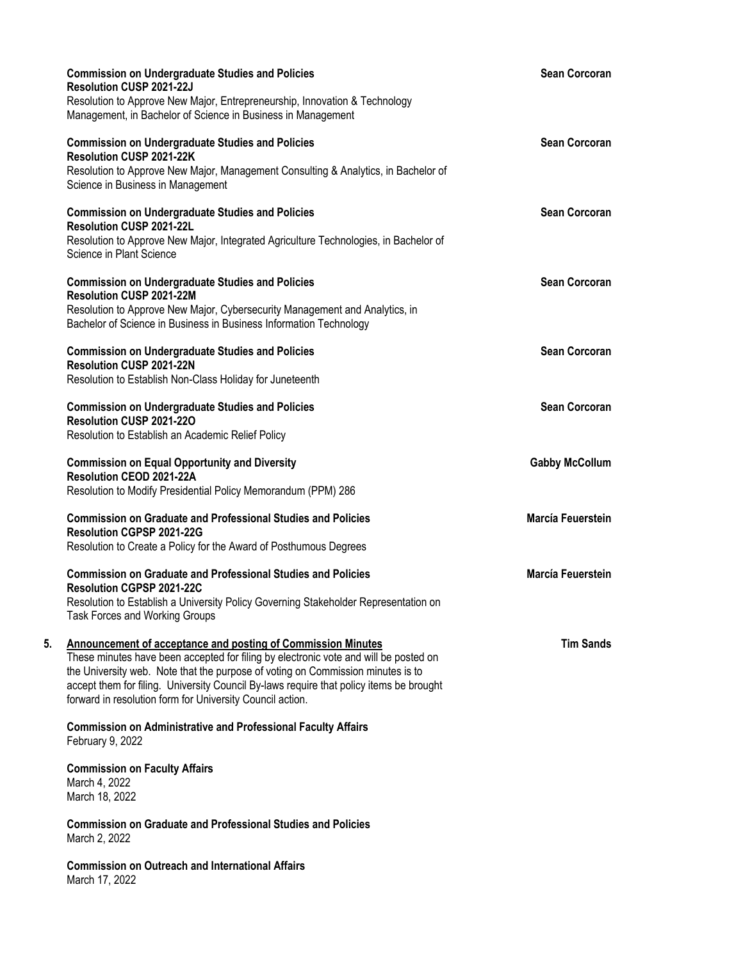|                                 | <b>Commission on Undergraduate Studies and Policies</b><br>Resolution CUSP 2021-22J<br>Resolution to Approve New Major, Entrepreneurship, Innovation & Technology<br>Management, in Bachelor of Science in Business in Management                                                                                                                                                                      | <b>Sean Corcoran</b>     |
|---------------------------------|--------------------------------------------------------------------------------------------------------------------------------------------------------------------------------------------------------------------------------------------------------------------------------------------------------------------------------------------------------------------------------------------------------|--------------------------|
|                                 | <b>Commission on Undergraduate Studies and Policies</b><br>Resolution CUSP 2021-22K<br>Resolution to Approve New Major, Management Consulting & Analytics, in Bachelor of<br>Science in Business in Management                                                                                                                                                                                         | <b>Sean Corcoran</b>     |
|                                 | <b>Commission on Undergraduate Studies and Policies</b><br>Resolution CUSP 2021-22L<br>Resolution to Approve New Major, Integrated Agriculture Technologies, in Bachelor of<br>Science in Plant Science                                                                                                                                                                                                | <b>Sean Corcoran</b>     |
|                                 | <b>Commission on Undergraduate Studies and Policies</b><br>Resolution CUSP 2021-22M<br>Resolution to Approve New Major, Cybersecurity Management and Analytics, in<br>Bachelor of Science in Business in Business Information Technology                                                                                                                                                               | Sean Corcoran            |
|                                 | <b>Commission on Undergraduate Studies and Policies</b><br><b>Resolution CUSP 2021-22N</b><br>Resolution to Establish Non-Class Holiday for Juneteenth                                                                                                                                                                                                                                                 | <b>Sean Corcoran</b>     |
|                                 | <b>Commission on Undergraduate Studies and Policies</b><br>Resolution CUSP 2021-220<br>Resolution to Establish an Academic Relief Policy                                                                                                                                                                                                                                                               | <b>Sean Corcoran</b>     |
|                                 | <b>Commission on Equal Opportunity and Diversity</b><br>Resolution CEOD 2021-22A<br>Resolution to Modify Presidential Policy Memorandum (PPM) 286                                                                                                                                                                                                                                                      | <b>Gabby McCollum</b>    |
|                                 | <b>Commission on Graduate and Professional Studies and Policies</b><br>Resolution CGPSP 2021-22G<br>Resolution to Create a Policy for the Award of Posthumous Degrees                                                                                                                                                                                                                                  | <b>Marcía Feuerstein</b> |
|                                 | <b>Commission on Graduate and Professional Studies and Policies</b><br>Resolution CGPSP 2021-22C<br>Resolution to Establish a University Policy Governing Stakeholder Representation on<br>Task Forces and Working Groups                                                                                                                                                                              | <b>Marcía Feuerstein</b> |
| 5.                              | <b>Announcement of acceptance and posting of Commission Minutes</b><br>These minutes have been accepted for filing by electronic vote and will be posted on<br>the University web. Note that the purpose of voting on Commission minutes is to<br>accept them for filing. University Council By-laws require that policy items be brought<br>forward in resolution form for University Council action. | <b>Tim Sands</b>         |
| February 9, 2022                | <b>Commission on Administrative and Professional Faculty Affairs</b>                                                                                                                                                                                                                                                                                                                                   |                          |
| March 4, 2022<br>March 18, 2022 | <b>Commission on Faculty Affairs</b>                                                                                                                                                                                                                                                                                                                                                                   |                          |
| March 2, 2022                   | <b>Commission on Graduate and Professional Studies and Policies</b>                                                                                                                                                                                                                                                                                                                                    |                          |
| March 17, 2022                  | <b>Commission on Outreach and International Affairs</b>                                                                                                                                                                                                                                                                                                                                                |                          |